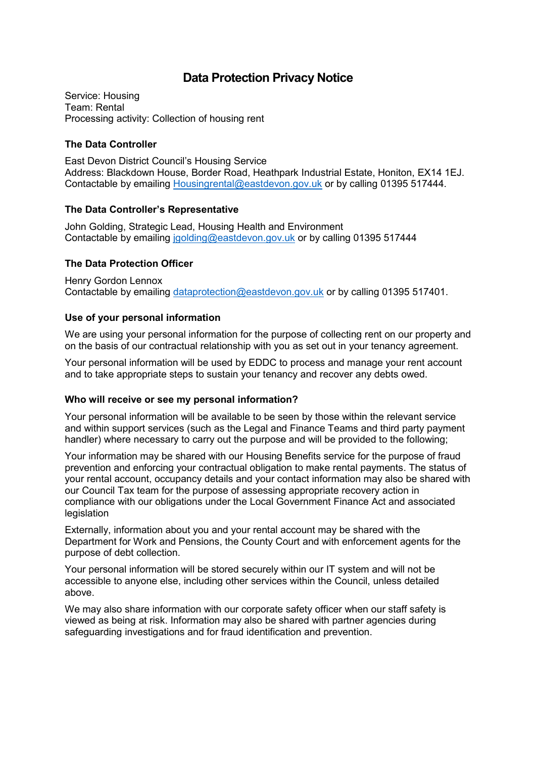# **Data Protection Privacy Notice**

Service: Housing Team: Rental Processing activity: Collection of housing rent

## **The Data Controller**

East Devon District Council's Housing Service Address: Blackdown House, Border Road, Heathpark Industrial Estate, Honiton, EX14 1EJ. Contactable by emailing [Housingrental@eastdevon.gov.uk](mailto:Housingrental@eastdevon.gov.uk) or by calling 01395 517444.

# **The Data Controller's Representative**

John Golding, Strategic Lead, Housing Health and Environment Contactable by emailing [jgolding@eastdevon.gov.uk](mailto:jgolding@eastdevon.gov.uk) or by calling 01395 517444

# **The Data Protection Officer**

Henry Gordon Lennox Contactable by emailing [dataprotection@eastdevon.gov.uk](mailto:dataprotection@eastdevon.gov.uk) or by calling 01395 517401.

# **Use of your personal information**

We are using your personal information for the purpose of collecting rent on our property and on the basis of our contractual relationship with you as set out in your tenancy agreement.

Your personal information will be used by EDDC to process and manage your rent account and to take appropriate steps to sustain your tenancy and recover any debts owed.

#### **Who will receive or see my personal information?**

Your personal information will be available to be seen by those within the relevant service and within support services (such as the Legal and Finance Teams and third party payment handler) where necessary to carry out the purpose and will be provided to the following;

Your information may be shared with our Housing Benefits service for the purpose of fraud prevention and enforcing your contractual obligation to make rental payments. The status of your rental account, occupancy details and your contact information may also be shared with our Council Tax team for the purpose of assessing appropriate recovery action in compliance with our obligations under the Local Government Finance Act and associated legislation

Externally, information about you and your rental account may be shared with the Department for Work and Pensions, the County Court and with enforcement agents for the purpose of debt collection.

Your personal information will be stored securely within our IT system and will not be accessible to anyone else, including other services within the Council, unless detailed above.

We may also share information with our corporate safety officer when our staff safety is viewed as being at risk. Information may also be shared with partner agencies during safeguarding investigations and for fraud identification and prevention.